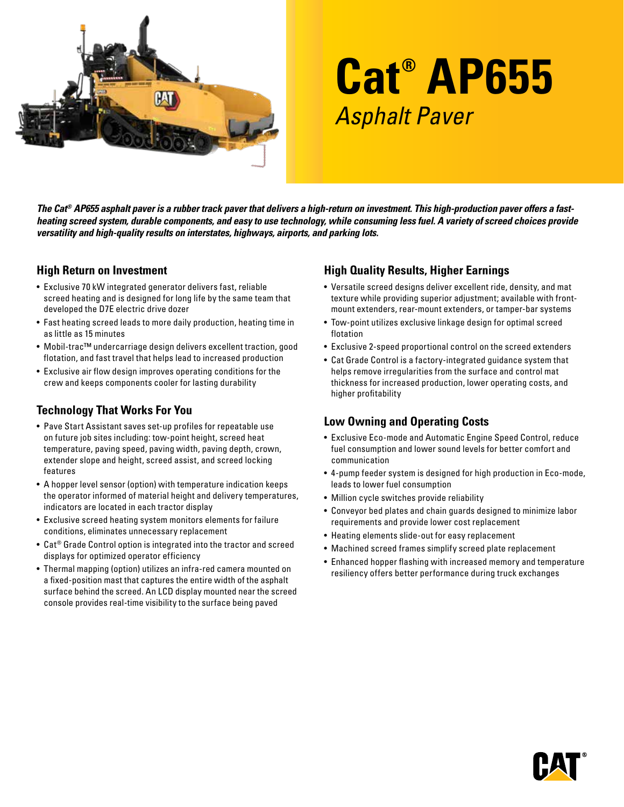

# **Cat® AP655** Asphalt Paver

*The Cat® AP655 asphalt paver is a rubber track paver that delivers a high-return on investment. This high-production paver offers a fastheating screed system, durable components, and easy to use technology, while consuming less fuel. A variety of screed choices provide versatility and high-quality results on interstates, highways, airports, and parking lots.* 

#### **High Return on Investment**

- Exclusive 70 kW integrated generator delivers fast, reliable screed heating and is designed for long life by the same team that developed the D7E electric drive dozer
- Fast heating screed leads to more daily production, heating time in as little as 15 minutes
- Mobil-trac™ undercarriage design delivers excellent traction, good flotation, and fast travel that helps lead to increased production
- Exclusive air flow design improves operating conditions for the crew and keeps components cooler for lasting durability

## **Technology That Works For You**

- Pave Start Assistant saves set-up profiles for repeatable use on future job sites including: tow-point height, screed heat temperature, paving speed, paving width, paving depth, crown, extender slope and height, screed assist, and screed locking features
- A hopper level sensor (option) with temperature indication keeps the operator informed of material height and delivery temperatures, indicators are located in each tractor display
- Exclusive screed heating system monitors elements for failure conditions, eliminates unnecessary replacement
- Cat® Grade Control option is integrated into the tractor and screed displays for optimized operator efficiency
- Thermal mapping (option) utilizes an infra-red camera mounted on a fixed-position mast that captures the entire width of the asphalt surface behind the screed. An LCD display mounted near the screed console provides real-time visibility to the surface being paved

## **High Quality Results, Higher Earnings**

- Versatile screed designs deliver excellent ride, density, and mat texture while providing superior adjustment; available with frontmount extenders, rear-mount extenders, or tamper-bar systems
- Tow-point utilizes exclusive linkage design for optimal screed flotation
- Exclusive 2-speed proportional control on the screed extenders
- Cat Grade Control is a factory-integrated guidance system that helps remove irregularities from the surface and control mat thickness for increased production, lower operating costs, and higher profitability

#### **Low Owning and Operating Costs**

- Exclusive Eco-mode and Automatic Engine Speed Control, reduce fuel consumption and lower sound levels for better comfort and communication
- 4-pump feeder system is designed for high production in Eco-mode, leads to lower fuel consumption
- Million cycle switches provide reliability
- Conveyor bed plates and chain guards designed to minimize labor requirements and provide lower cost replacement
- Heating elements slide-out for easy replacement
- Machined screed frames simplify screed plate replacement
- Enhanced hopper flashing with increased memory and temperature resiliency offers better performance during truck exchanges

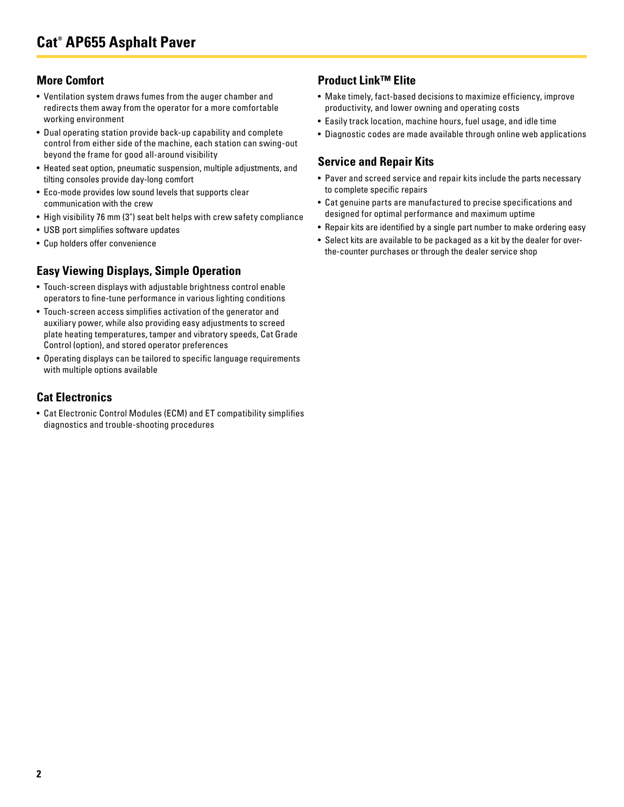#### **More Comfort**

- Ventilation system draws fumes from the auger chamber and redirects them away from the operator for a more comfortable working environment
- Dual operating station provide back-up capability and complete control from either side of the machine, each station can swing-out beyond the frame for good all-around visibility
- Heated seat option, pneumatic suspension, multiple adjustments, and tilting consoles provide day-long comfort
- Eco-mode provides low sound levels that supports clear communication with the crew
- High visibility 76 mm (3") seat belt helps with crew safety compliance
- USB port simplifies software updates
- Cup holders offer convenience

## **Easy Viewing Displays, Simple Operation**

- Touch-screen displays with adjustable brightness control enable operators to fine-tune performance in various lighting conditions
- Touch-screen access simplifies activation of the generator and auxiliary power, while also providing easy adjustments to screed plate heating temperatures, tamper and vibratory speeds, Cat Grade Control (option), and stored operator preferences
- Operating displays can be tailored to specific language requirements with multiple options available

### **Cat Electronics**

• Cat Electronic Control Modules (ECM) and ET compatibility simplifies diagnostics and trouble-shooting procedures

#### **Product Link™ Elite**

- Make timely, fact-based decisions to maximize efficiency, improve productivity, and lower owning and operating costs
- Easily track location, machine hours, fuel usage, and idle time
- Diagnostic codes are made available through online web applications

## **Service and Repair Kits**

- Paver and screed service and repair kits include the parts necessary to complete specific repairs
- Cat genuine parts are manufactured to precise specifications and designed for optimal performance and maximum uptime
- Repair kits are identified by a single part number to make ordering easy
- Select kits are available to be packaged as a kit by the dealer for overthe-counter purchases or through the dealer service shop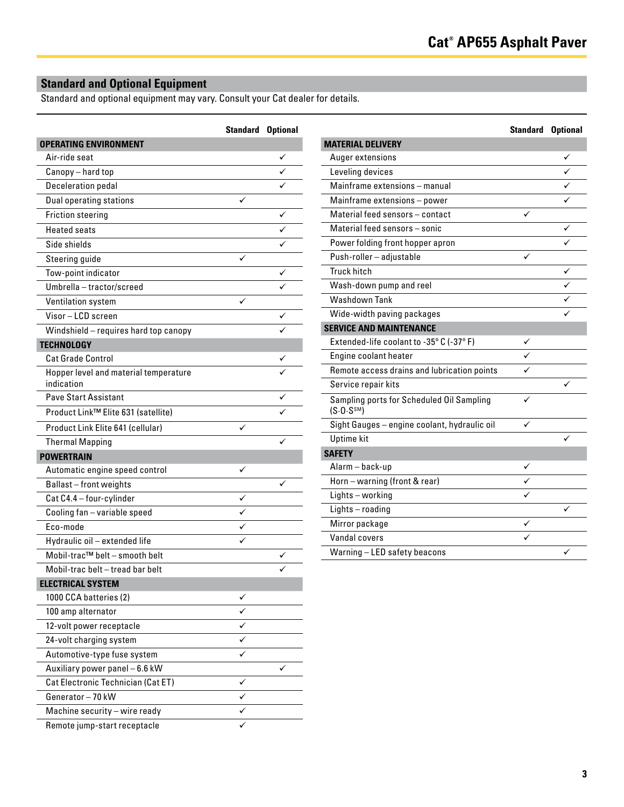## **Standard and Optional Equipment**

Standard and optional equipment may vary. Consult your Cat dealer for details.

|                                       | <b>Standard Optional</b> |   |
|---------------------------------------|--------------------------|---|
| <b>OPERATING ENVIRONMENT</b>          |                          |   |
| Air-ride seat                         |                          |   |
| Canopy - hard top                     |                          |   |
| <b>Deceleration pedal</b>             |                          |   |
| <b>Dual operating stations</b>        |                          |   |
| <b>Friction steering</b>              |                          |   |
| <b>Heated seats</b>                   |                          |   |
| Side shields                          |                          |   |
| Steering guide                        |                          |   |
| Tow-point indicator                   |                          | ✓ |
| Umbrella - tractor/screed             |                          |   |
| Ventilation system                    |                          |   |
| Visor-LCD screen                      |                          |   |
| Windshield - requires hard top canopy |                          |   |
| <b>TECHNOLOGY</b>                     |                          |   |
| Cat Grade Control                     |                          |   |
| Hopper level and material temperature |                          |   |
| indication                            |                          |   |
| <b>Pave Start Assistant</b>           |                          |   |
| Product Link™ Elite 631 (satellite)   |                          |   |
| Product Link Elite 641 (cellular)     |                          |   |
| <b>Thermal Mapping</b>                |                          |   |
| <b>POWERTRAIN</b>                     |                          |   |
| Automatic engine speed control        |                          |   |
| Ballast-front weights                 |                          |   |
| Cat C4.4 - four-cylinder              |                          |   |
| Cooling fan - variable speed          |                          |   |
| Eco-mode                              |                          |   |
| Hydraulic oil - extended life         |                          |   |
| Mobil-trac™ belt - smooth belt        |                          |   |
| Mobil-trac belt - tread bar belt      |                          |   |
| <b>ELECTRICAL SYSTEM</b>              |                          |   |
| 1000 CCA batteries (2)                |                          |   |
| 100 amp alternator                    |                          |   |
| 12-volt power receptacle              |                          |   |
| 24-volt charging system               | ✓                        |   |
| Automotive-type fuse system           |                          |   |
| Auxiliary power panel - 6.6 kW        |                          |   |
| Cat Electronic Technician (Cat ET)    | ✓                        |   |
| Generator-70 kW                       | ✓                        |   |
| Machine security - wire ready         |                          |   |
| Remote jump-start receptacle          |                          |   |

|                                                                      | <b>Standard Optional</b> |              |
|----------------------------------------------------------------------|--------------------------|--------------|
| <b>MATERIAL DELIVERY</b>                                             |                          |              |
| Auger extensions                                                     |                          | ✓            |
| Leveling devices                                                     |                          | ✓            |
| Mainframe extensions - manual                                        |                          |              |
| Mainframe extensions - power                                         |                          |              |
| Material feed sensors - contact                                      |                          |              |
| Material feed sensors - sonic                                        |                          | ✓            |
| Power folding front hopper apron                                     |                          |              |
| Push-roller - adjustable                                             |                          |              |
| <b>Truck hitch</b>                                                   |                          | ✓            |
| Wash-down pump and reel                                              |                          | $\checkmark$ |
| Washdown Tank                                                        |                          | ✓            |
| Wide-width paving packages                                           |                          |              |
| <b>SERVICE AND MAINTENANCE</b>                                       |                          |              |
| Extended-life coolant to -35° C (-37° F)                             | ✓                        |              |
| Engine coolant heater                                                |                          |              |
| Remote access drains and lubrication points                          |                          |              |
| Service repair kits                                                  |                          |              |
| Sampling ports for Scheduled Oil Sampling<br>(S.0. S <sup>SM</sup> ) | ✓                        |              |
| Sight Gauges - engine coolant, hydraulic oil                         | ✓                        |              |
| <b>Uptime kit</b>                                                    |                          |              |
| <b>SAFETY</b>                                                        |                          |              |
| Alarm – back-up                                                      | ✓                        |              |
| Horn - warning (front & rear)                                        |                          |              |
| Lights - working                                                     |                          |              |
| Lights-roading                                                       |                          |              |
| Mirror package                                                       | ✓                        |              |
| Vandal covers                                                        | ✓                        |              |
| Warning - LED safety beacons                                         |                          | ✓            |